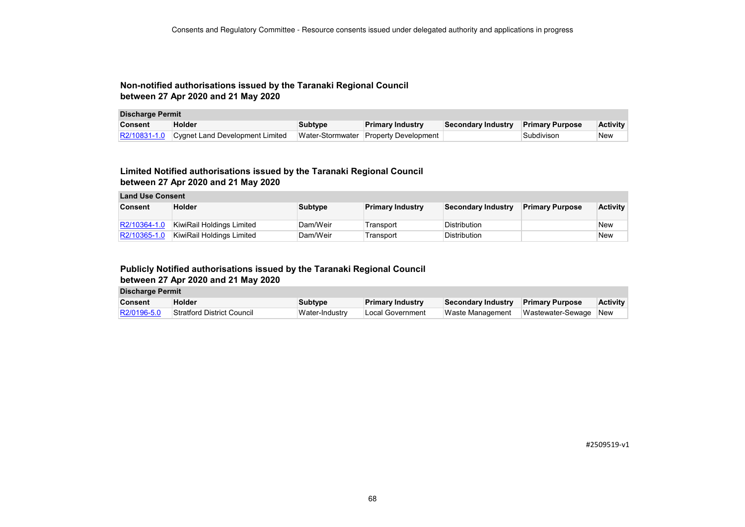### **Non-notified authorisations issued by the Taranaki Regional Council between 27 Apr 2020 and 21 May 2020**

| <b>Discharge Permit</b> |                                              |                |                                       |                           |                         |                 |
|-------------------------|----------------------------------------------|----------------|---------------------------------------|---------------------------|-------------------------|-----------------|
| <b>Consent</b>          | <b>Holder</b>                                | <b>Subtype</b> | <b>Primary Industry</b>               | <b>Secondary Industry</b> | <b>Primary Purpose</b>  | <b>Activity</b> |
|                         | R2/10831-1.0 Cygnet Land Development Limited |                | Water-Stormwater Property Development |                           | <sup>∖</sup> Subdivison | New             |

## **Limited Notified authorisations issued by the Taranaki Regional Council between 27 Apr 2020 and 21 May 2020**

| <b>Land Use Consent</b> |                           |                |                         |                     |                        |                 |
|-------------------------|---------------------------|----------------|-------------------------|---------------------|------------------------|-----------------|
| <b>Consent</b>          | <b>Holder</b>             | <b>Subtype</b> | <b>Primary Industry</b> | Secondary Industry  | <b>Primary Purpose</b> | <b>Activity</b> |
|                         |                           |                |                         |                     |                        |                 |
| R2/10364-1.0            | KiwiRail Holdings Limited | Dam/Weir       | Transport               | <b>Distribution</b> |                        | <b>New</b>      |
| R2/10365-1.0            | KiwiRail Holdings Limited | Dam/Weir       | Transport               | Distribution        |                        | <b>New</b>      |

### **Publicly Notified authorisations issued by the Taranaki Regional Council**

**between 27 Apr 2020 and 21 May 2020**

| <b>Discharge Permit</b> |
|-------------------------|
|-------------------------|

| <b>Consent</b> | <b>Holder</b>              | Subtype        | <b>Primary Industry</b> | Secondary Industry Primary Purpose |                       | <b>Activity</b> |
|----------------|----------------------------|----------------|-------------------------|------------------------------------|-----------------------|-----------------|
| R2/0196-5.0    | Stratford District Council | Water-Industry | Local Government        | Waste Management                   | Wastewater-Sewage New |                 |

#2509519-v1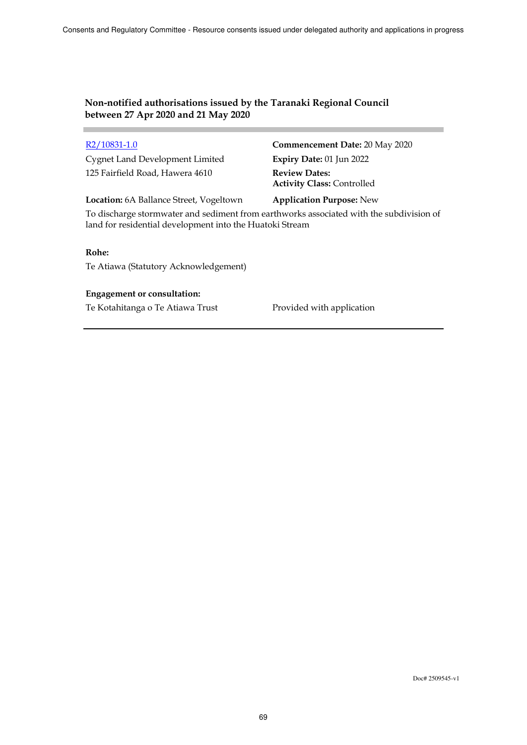# **Non-notified authorisations issued by the Taranaki Regional Council between 27 Apr 2020 and 21 May 2020**

| R2/10831-1.0                            | Commencement Date: 20 May 2020                            |
|-----------------------------------------|-----------------------------------------------------------|
| <b>Cygnet Land Development Limited</b>  | Expiry Date: 01 Jun 2022                                  |
| 125 Fairfield Road, Hawera 4610         | <b>Review Dates:</b><br><b>Activity Class: Controlled</b> |
| Location: 6A Ballance Street, Vogeltown | <b>Application Purpose: New</b>                           |

To discharge stormwater and sediment from earthworks associated with the subdivision of land for residential development into the Huatoki Stream

### **Rohe:**

Te Atiawa (Statutory Acknowledgement)

### **Engagement or consultation:**

Te Kotahitanga o Te Atiawa Trust Provided with application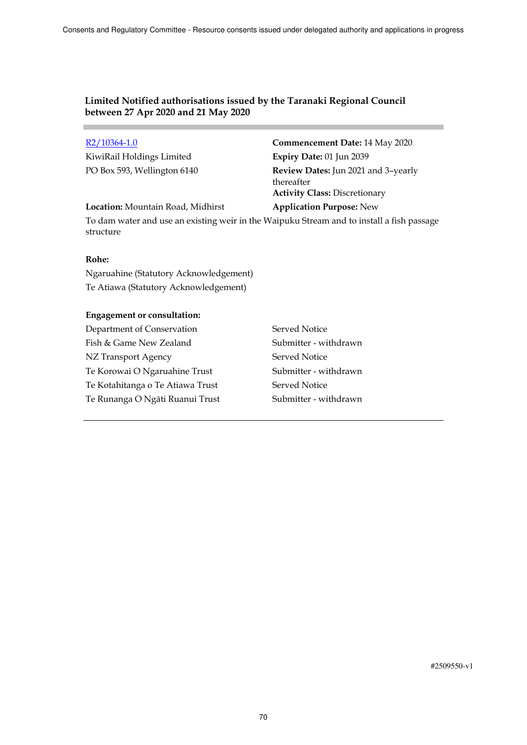# **Limited Notified authorisations issued by the Taranaki Regional Council between 27 Apr 2020 and 21 May 2020**

KiwiRail Holdings Limited **Expiry Date:** 01 Jun 2039

R2/10364-1.0 **Commencement Date:** 14 May 2020 PO Box 593, Wellington 6140 **Review Dates:** Jun 2021 and 3–yearly thereafter **Activity Class:** Discretionary

**Location:** Mountain Road, Midhirst **Application Purpose:** New

To dam water and use an existing weir in the Waipuku Stream and to install a fish passage structure

## **Rohe:**

Ngaruahine (Statutory Acknowledgement) Te Atiawa (Statutory Acknowledgement)

## **Engagement or consultation:**

Department of Conservation Served Notice Fish & Game New Zealand Submitter - withdrawn NZ Transport Agency Served Notice Te Korowai O Ngaruahine Trust Submitter - withdrawn Te Kotahitanga o Te Atiawa Trust Served Notice Te Runanga O Ngāti Ruanui Trust Submitter - withdrawn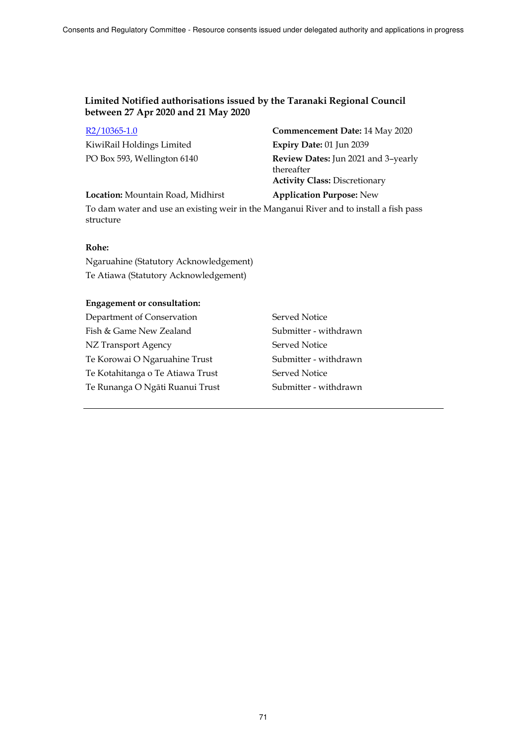## **Limited Notified authorisations issued by the Taranaki Regional Council between 27 Apr 2020 and 21 May 2020**

| $R2/10365-1.0$              | Commencement Date: 14 May 2020                                                            |
|-----------------------------|-------------------------------------------------------------------------------------------|
| KiwiRail Holdings Limited   | Expiry Date: 01 Jun 2039                                                                  |
| PO Box 593, Wellington 6140 | Review Dates: Jun 2021 and 3-yearly<br>thereafter<br><b>Activity Class: Discretionary</b> |

#### **Location:** Mountain Road, Midhirst **Application Purpose:** New

To dam water and use an existing weir in the Manganui River and to install a fish pass structure

## **Rohe:**

Ngaruahine (Statutory Acknowledgement) Te Atiawa (Statutory Acknowledgement)

#### **Engagement or consultation:**

Department of Conservation Served Notice Fish & Game New Zealand Submitter - withdrawn NZ Transport Agency Served Notice Te Korowai O Ngaruahine Trust Submitter - withdrawn Te Kotahitanga o Te Atiawa Trust Served Notice Te Runanga O Ngāti Ruanui Trust Submitter - withdrawn